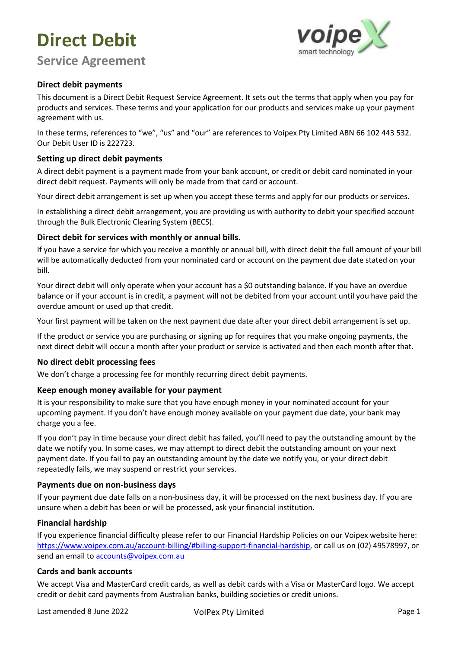# **Direct Debit**



### **Service Agreement**

#### **Direct debit payments**

This document is a Direct Debit Request Service Agreement. It sets out the terms that apply when you pay for products and services. These terms and your application for our products and services make up your payment agreement with us.

In these terms, references to "we", "us" and "our" are references to Voipex Pty Limited ABN 66 102 443 532. Our Debit User ID is 222723.

#### **Setting up direct debit payments**

A direct debit payment is a payment made from your bank account, or credit or debit card nominated in your direct debit request. Payments will only be made from that card or account.

Your direct debit arrangement is set up when you accept these terms and apply for our products or services.

In establishing a direct debit arrangement, you are providing us with authority to debit your specified account through the Bulk Electronic Clearing System (BECS).

#### **Direct debit for services with monthly or annual bills.**

If you have a service for which you receive a monthly or annual bill, with direct debit the full amount of your bill will be automatically deducted from your nominated card or account on the payment due date stated on your bill.

Your direct debit will only operate when your account has a \$0 outstanding balance. If you have an overdue balance or if your account is in credit, a payment will not be debited from your account until you have paid the overdue amount or used up that credit.

Your first payment will be taken on the next payment due date after your direct debit arrangement is set up.

If the product or service you are purchasing or signing up for requires that you make ongoing payments, the next direct debit will occur a month after your product or service is activated and then each month after that.

#### **No direct debit processing fees**

We don't charge a processing fee for monthly recurring direct debit payments.

#### **Keep enough money available for your payment**

It is your responsibility to make sure that you have enough money in your nominated account for your upcoming payment. If you don't have enough money available on your payment due date, your bank may charge you a fee.

If you don't pay in time because your direct debit has failed, you'll need to pay the outstanding amount by the date we notify you. In some cases, we may attempt to direct debit the outstanding amount on your next payment date. If you fail to pay an outstanding amount by the date we notify you, or your direct debit repeatedly fails, we may suspend or restrict your services.

#### **Payments due on non-business days**

If your payment due date falls on a non-business day, it will be processed on the next business day. If you are unsure when a debit has been or will be processed, ask your financial institution.

#### **Financial hardship**

If you experience financial difficulty please refer to our Financial Hardship Policies on our Voipex website here: https://www.voipex.com.au/account-billing/#billing-support-financial-hardship, or call us on (02) 49578997, or send an email to accounts@voipex.com.au

#### **Cards and bank accounts**

We accept Visa and MasterCard credit cards, as well as debit cards with a Visa or MasterCard logo. We accept credit or debit card payments from Australian banks, building societies or credit unions.